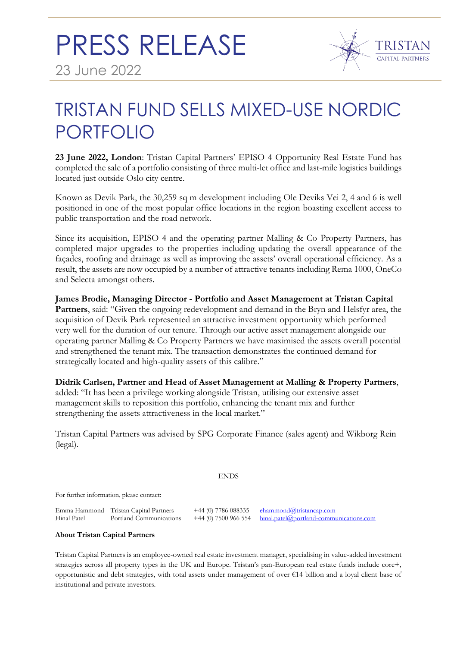

## TRISTAN FUND SELLS MIXED-USE NORDIC PORTFOLIO

**23 June 2022, London**: Tristan Capital Partners' EPISO 4 Opportunity Real Estate Fund has completed the sale of a portfolio consisting of three multi-let office and last-mile logistics buildings located just outside Oslo city centre.

Known as Devik Park, the 30,259 sq m development including Ole Deviks Vei 2, 4 and 6 is well positioned in one of the most popular office locations in the region boasting excellent access to public transportation and the road network.

Since its acquisition, EPISO 4 and the operating partner Malling & Co Property Partners, has completed major upgrades to the properties including updating the overall appearance of the façades, roofing and drainage as well as improving the assets' overall operational efficiency. As a result, the assets are now occupied by a number of attractive tenants including Rema 1000, OneCo and Selecta amongst others.

**James Brodie, Managing Director - Portfolio and Asset Management at Tristan Capital Partners**, said: "Given the ongoing redevelopment and demand in the Bryn and Helsfyr area, the acquisition of Devik Park represented an attractive investment opportunity which performed very well for the duration of our tenure. Through our active asset management alongside our operating partner Malling & Co Property Partners we have maximised the assets overall potential and strengthened the tenant mix. The transaction demonstrates the continued demand for strategically located and high-quality assets of this calibre."

**Didrik Carlsen, Partner and Head of Asset Management at Malling & Property Partners**, added: "It has been a privilege working alongside Tristan, utilising our extensive asset management skills to reposition this portfolio, enhancing the tenant mix and further strengthening the assets attractiveness in the local market."

Tristan Capital Partners was advised by SPG Corporate Finance (sales agent) and Wikborg Rein (legal).

## **ENDS**

For further information, please contact:

Emma Hammond Tristan Capital Partners +44 (0) 7786 088335 [ehammond@tristancap.com](mailto:ehammond@tristancap.com)

 $\overline{\text{hinal}_\text{.patch}(\omega)}$  portland-communications.com

## **About Tristan Capital Partners**

Tristan Capital Partners is an employee-owned real estate investment manager, specialising in value-added investment strategies across all property types in the UK and Europe. Tristan's pan-European real estate funds include core+, opportunistic and debt strategies, with total assets under management of over €14 billion and a loyal client base of institutional and private investors.